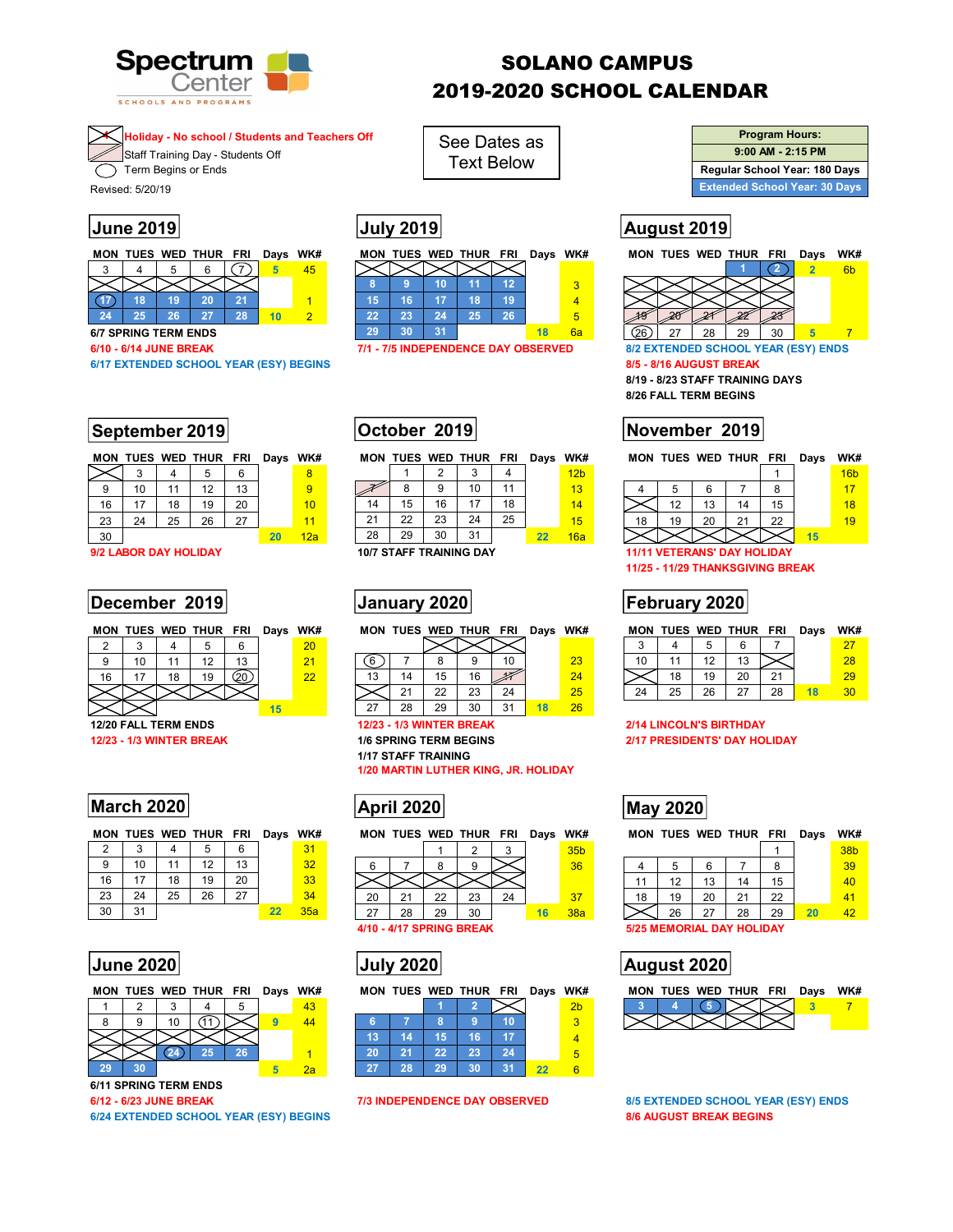

# SOLANO CAMPUS 2019-2020 SCHOOL CALENDAR

## **4 Holiday - No school / Students and Teachers Off**

Staff Training Day - Students Off

 $\overline{\mathcal{F}}$  Term Begins or Ends

Revised: 5/20/19

|  | MON TUES WED THUR FRI | Days WK# |  |
|--|-----------------------|----------|--|
|  |                       |          |  |
|  |                       |          |  |
|  | חכ                    |          |  |
|  |                       |          |  |

# **September 2019 October 2019 November 2019**

|    |    |    | MON TUES WED THUR FRI |    | Days WK# |     |
|----|----|----|-----------------------|----|----------|-----|
|    |    |    | 5                     | 6  |          |     |
| 9  | 10 | 11 | 12                    | 13 |          |     |
| 16 | 17 | 18 | 19                    | 20 |          | 10  |
| 23 | 24 | 25 | 26                    | 27 |          | 11  |
| 30 |    |    |                       |    | 20       | 12a |

# **December 2019 | January 2020 | Tebruary 2020**

|    |    |    | MON TUES WED THUR FRI Days WK# |    |    |    | MO |
|----|----|----|--------------------------------|----|----|----|----|
|    |    |    |                                |    |    | 20 |    |
| g  | 10 | 11 | 12                             | 13 |    | 21 |    |
| 16 | 17 | 18 | 19                             |    |    | 22 | 13 |
|    |    |    |                                |    |    |    |    |
|    |    |    |                                |    | 15 |    |    |
|    |    |    |                                |    |    |    |    |

# **March 2020 March 2020 May 2020 May 2020**

|               |    |    | <b>MON TUES WED THUR FRI</b> |    | Days WK# |     |  |
|---------------|----|----|------------------------------|----|----------|-----|--|
| $\mathcal{P}$ |    |    | 5                            | 6  |          | 31  |  |
| 9             | 10 | 11 | 12                           | 13 |          | 32  |  |
| 16            | 17 | 18 | 19                           | 20 |          | 33  |  |
| 23            | 24 | 25 | 26                           | 27 |          | 34  |  |
| 30            | 31 |    |                              |    | 22       | 35a |  |

|    |    | MON TUES WED THUR FRI Days WK# |    |    |  |
|----|----|--------------------------------|----|----|--|
|    |    |                                |    | 43 |  |
|    | 10 |                                |    | 14 |  |
|    |    |                                |    |    |  |
|    |    | 25                             | 26 |    |  |
| 29 |    |                                |    | ூ  |  |

**6/11 SPRING TERM ENDS** 

**6/24 EXTENDED SCHOOL YEAR (ESY) BEGINS 8/6 AUGUST BREAK BEGINS** 

|  | ION TUES WED THUR FRI Days WK# |  |  | MON TUES WED THUR FRI Days WK# |  |  |  |  | MON TUES WED THUR FF |  |
|--|--------------------------------|--|--|--------------------------------|--|--|--|--|----------------------|--|
|  |                                |  |  |                                |  |  |  |  |                      |  |
|  |                                |  |  |                                |  |  |  |  |                      |  |
|  |                                |  |  |                                |  |  |  |  |                      |  |

See Dates as Text Below

|    | MON TUES WED THUR FRI |    |    |    | Days WK# |                 |
|----|-----------------------|----|----|----|----------|-----------------|
|    |                       | 2  |    |    |          | 12 <sub>b</sub> |
|    |                       |    | 10 | 11 |          | 13              |
| 14 | 15                    | 16 | 17 | 18 |          | 14              |
| 21 | 22                    | 23 | 24 | 25 |          | 15              |
| 28 | 29                    | 30 | 31 |    | 22       | 16a             |

| MON TUES WED THUR FRI Days WK# |  |     |  |  |
|--------------------------------|--|-----|--|--|
|                                |  | XXX |  |  |

| 6  |    |    | g  | 10 |    | 23 |  |
|----|----|----|----|----|----|----|--|
| 13 | 14 | 15 | 16 |    |    | 24 |  |
|    | 21 | 22 | 23 | 24 |    | 25 |  |
| 27 | 28 | 29 | 30 | 31 | 18 | 26 |  |

**1/17 STAFF TRAINING** 

**1/20 MARTIN LUTHER KING, JR. HOLIDAY** 



 $\times$ 1 2 3 35b 6 | 7 | 8 | 9 |  $\times$  |  $\frac{}{\sqrt{36}}$  |

|                | 21 | 22               | 23 |  |  |
|----------------|----|------------------|----|--|--|
| -27            | 28 | 29               |    |  |  |
| 4/1 N .<br>. . |    | 4/17 SPRING KRF4 |    |  |  |

| July 2020 |
|-----------|
|-----------|

| 5 | 43 |    |     |    |     |   | .              | 2 <sub>b</sub> |  |
|---|----|----|-----|----|-----|---|----------------|----------------|--|
|   |    |    |     |    | œ   |   |                |                |  |
|   |    | 43 |     |    | . . | с |                |                |  |
|   |    | ንበ |     | nn | nn  |   |                |                |  |
|   | za |    | . . |    |     |   | $\overline{2}$ |                |  |

| <b>Program Hours:</b>                |  |  |  |  |  |  |  |  |  |  |
|--------------------------------------|--|--|--|--|--|--|--|--|--|--|
| $9:00$ AM - 2:15 PM                  |  |  |  |  |  |  |  |  |  |  |
| Regular School Year: 180 Days        |  |  |  |  |  |  |  |  |  |  |
| <b>Extended School Year: 30 Days</b> |  |  |  |  |  |  |  |  |  |  |

# **June 2019 July 2019 August 2019**

Γ

|    |                             | MON TUES WED THUR FRI |    | Davs | WK#                                           |    | MON TUES WED THUR FRI               |    |    |    | Days WK# |                                     |  |    |    | MON TUES WED THUR FRI   |    | Davs | WK#            |
|----|-----------------------------|-----------------------|----|------|-----------------------------------------------|----|-------------------------------------|----|----|----|----------|-------------------------------------|--|----|----|-------------------------|----|------|----------------|
|    |                             |                       |    |      | 45                                            |    |                                     |    |    |    |          |                                     |  |    |    |                         |    |      | 6 <sub>b</sub> |
|    |                             |                       |    |      |                                               |    |                                     | ю  |    | 12 |          |                                     |  |    |    |                         |    |      |                |
|    | 18                          |                       | 21 |      |                                               | 15 | 16                                  |    |    | 19 |          |                                     |  |    |    |                         |    |      |                |
| 24 | 25                          |                       | 28 |      |                                               | 22 | 23                                  | 24 | 25 | 26 |          | 5                                   |  |    |    |                         |    |      |                |
|    | <b>6/7 SPRING TERM ENDS</b> |                       |    |      |                                               | 29 | 30                                  |    |    |    |          | 6a                                  |  | 27 | 28 | 29                      | 30 |      |                |
|    | 3/10 - 6/14 JUNE BREAK      |                       |    |      |                                               |    | 7/1 - 7/5 INDEPENDENCE DAY OBSERVED |    |    |    |          | 8/2 EXTENDED SCHOOL YEAR (ESY) ENDS |  |    |    |                         |    |      |                |
|    |                             |                       |    |      | <b>6/17 EXTENDED SCHOOL YEAR (ESY) BEGINS</b> |    |                                     |    |    |    |          |                                     |  |    |    | 8/5 - 8/16 AUGUST BREAK |    |      |                |
|    |                             |                       |    |      |                                               |    |                                     |    |    |    |          |                                     |  |    |    |                         |    |      |                |

**8/19 - 8/23 STAFF TRAINING DAYS 8/26 FALL TERM BEGINS** 

|    |    |    | MON TUES WED THUR FRI |    | Davs | WK# |    |    |     | MON TUES WED THUR FRI |    | Days | WK#             |    |           | MON TUES WED THUR FRI |    | Davs | WK#             |  |
|----|----|----|-----------------------|----|------|-----|----|----|-----|-----------------------|----|------|-----------------|----|-----------|-----------------------|----|------|-----------------|--|
|    |    |    |                       |    |      | 8   |    |    |     |                       |    |      | 12 <sub>b</sub> |    |           |                       |    |      | 16 <sub>b</sub> |  |
|    | ιv |    |                       | 13 |      | 9   |    |    |     | 10                    |    |      | 13              |    |           |                       |    |      |                 |  |
| 16 |    | 18 | 19                    | 20 |      | 10  | 14 | 15 |     | 17                    | 18 |      | 14              |    | 10<br>ں ا |                       |    |      | 18              |  |
| 23 | 24 |    | 26                    | 27 |      |     | 21 | つつ | ົດລ | 24                    | 25 |      | 15              | 18 | 20        |                       | 22 |      | 19              |  |
| 30 |    |    |                       |    |      | 12a | 28 | 29 | 30  | 31                    |    |      | 16a             |    |           |                       |    |      |                 |  |

**9/2 LABOR DAY HOLIDAY 10/7 STAFF TRAINING DAY 11/11 VETERANS' DAY HOLIDAY** 

**11/25 - 11/29 THANKSGIVING BREAK** 

| MON |  | TUES WED THUR | FRI  | Davs | WK#      | <b>MON</b> | TUES |                     | WED THUR | FRI | Davs | WK#      | <b>MON</b> |    |    | TUES WED THUR | <b>FRI</b>  | Davs | WK#             |  |
|-----|--|---------------|------|------|----------|------------|------|---------------------|----------|-----|------|----------|------------|----|----|---------------|-------------|------|-----------------|--|
|     |  |               |      |      | 20       |            |      |                     |          |     |      |          |            |    |    |               |             |      |                 |  |
|     |  |               | 12   |      | $\Omega$ |            |      |                     |          |     |      | ററ<br>23 |            |    |    |               |             |      | 28              |  |
| 16  |  | 19            | (20. |      | ററ       | 13         |      |                     | 16       |     |      | 24       |            | 18 | 19 | 20            | $2^{\cdot}$ |      | 29              |  |
|     |  |               |      |      |          |            |      | $\sim$<br><u>__</u> | 23       | 24  |      |          | 24         | 25 | 26 | $\sim$        | 28          |      | 30 <sub>1</sub> |  |

### **12/20 FALL TERM ENDS 12/23 - 1/3 WINTER BREAK 2/14 LINCOLN'S BIRTHDAY 12/23 - 1/3 WINTER BREAK 1/6 SPRING TERM BEGINS 2/17 PRESIDENTS' DAY HOLIDAY**

MON TUES WED THUR FRI Days WK# MON TUES WED THUR FRI Days WK#

|    |    |    |    |    |    | 38 <sub>b</sub> |  |
|----|----|----|----|----|----|-----------------|--|
|    | b  | 6  |    |    |    | 39              |  |
|    | 12 | 13 | 14 | 15 |    | 40              |  |
| 18 | 19 | 20 |    | 22 |    |                 |  |
|    | 26 | 27 |    | 29 | 20 | 19              |  |

**5/25 MEMORIAL DAY HOLIDAY** 

# **June 2020 July 2020 August 2020**



**6/12 - 6/23 JUNE BREAK 7/3 INDEPENDENCE DAY OBSERVED** 8/5 EXTENDED SCHOOL YEAR (ESY) ENDS